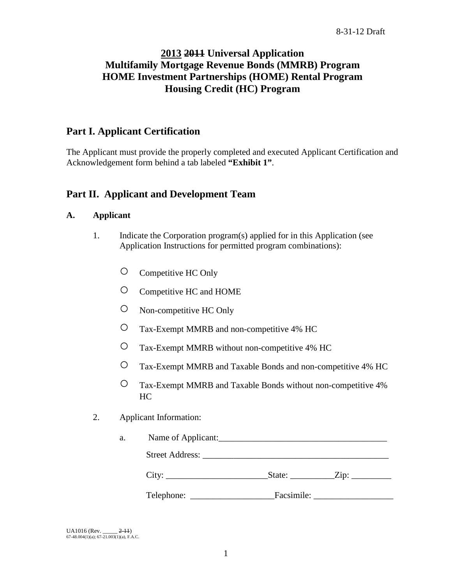# **2013 2011 Universal Application Multifamily Mortgage Revenue Bonds (MMRB) Program HOME Investment Partnerships (HOME) Rental Program Housing Credit (HC) Program**

# **Part I. Applicant Certification**

The Applicant must provide the properly completed and executed Applicant Certification and Acknowledgement form behind a tab labeled **"Exhibit 1"**.

# **Part II. Applicant and Development Team**

## **A. Applicant**

- 1. Indicate the Corporation program(s) applied for in this Application (see Application Instructions for permitted program combinations):
	- Competitive HC Only
	- Competitive HC and HOME
	- Non-competitive HC Only
	- Tax-Exempt MMRB and non-competitive 4% HC
	- Tax-Exempt MMRB without non-competitive 4% HC
	- Tax-Exempt MMRB and Taxable Bonds and non-competitive 4% HC
	- Tax-Exempt MMRB and Taxable Bonds without non-competitive 4% HC
- 2. Applicant Information:

| Name of Applicant:<br>a. |  |  |  |  |
|--------------------------|--|--|--|--|
|                          |  |  |  |  |
|                          |  |  |  |  |
|                          |  |  |  |  |
|                          |  |  |  |  |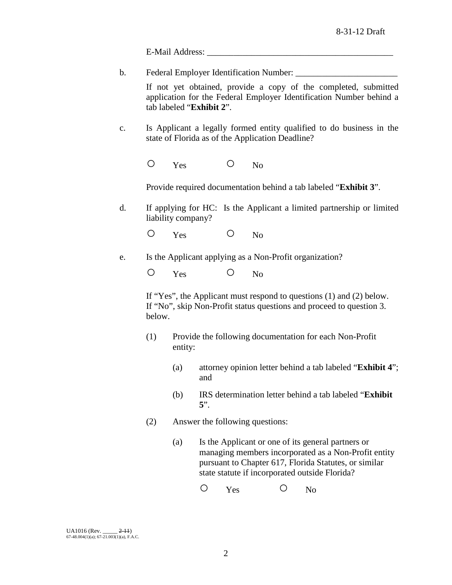E-Mail Address:

b. Federal Employer Identification Number: \_\_\_\_\_\_\_\_\_\_\_\_\_\_\_\_\_\_\_\_\_\_\_

If not yet obtained, provide a copy of the completed, submitted application for the Federal Employer Identification Number behind a tab labeled "**Exhibit 2**".

c. Is Applicant a legally formed entity qualified to do business in the state of Florida as of the Application Deadline?

O Yes O No

Provide required documentation behind a tab labeled "**Exhibit 3**".

d. If applying for HC: Is the Applicant a limited partnership or limited liability company?

O Yes O No

e. Is the Applicant applying as a Non-Profit organization?

O Yes O No

If "Yes", the Applicant must respond to questions (1) and (2) below. If "No", skip Non-Profit status questions and proceed to question 3. below.

- (1) Provide the following documentation for each Non-Profit entity:
	- (a) attorney opinion letter behind a tab labeled "**Exhibit 4**"; and
	- (b) IRS determination letter behind a tab labeled "**Exhibit 5**".
- (2) Answer the following questions:
	- (a) Is the Applicant or one of its general partners or managing members incorporated as a Non-Profit entity pursuant to Chapter 617, Florida Statutes, or similar state statute if incorporated outside Florida?

O Yes O No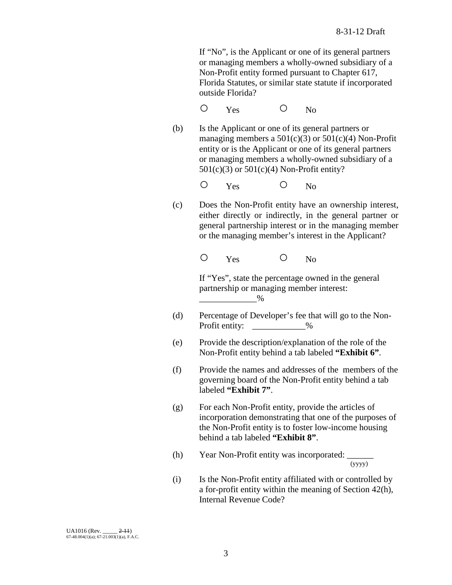If "No", is the Applicant or one of its general partners or managing members a wholly-owned subsidiary of a Non-Profit entity formed pursuant to Chapter 617, Florida Statutes, or similar state statute if incorporated outside Florida?

O Yes O No

(b) Is the Applicant or one of its general partners or managing members a  $501(c)(3)$  or  $501(c)(4)$  Non-Profit entity or is the Applicant or one of its general partners or managing members a wholly-owned subsidiary of a  $501(c)(3)$  or  $501(c)(4)$  Non-Profit entity?

O Yes O No

(c) Does the Non-Profit entity have an ownership interest, either directly or indirectly, in the general partner or general partnership interest or in the managing member or the managing member's interest in the Applicant?

O Yes O No

If "Yes", state the percentage owned in the general partnership or managing member interest:  $\overline{\phantom{a^{11}}}_{\phantom{11}}$   $\phantom{a^{11}}_{\phantom{11}}$   $\phantom{a^{11}}_{\phantom{11}}$   $\phantom{a^{11}}_{\phantom{11}}$ 

- (d) Percentage of Developer's fee that will go to the Non-Profit entity:  $\%$
- (e) Provide the description/explanation of the role of the Non-Profit entity behind a tab labeled **"Exhibit 6"**.
- (f) Provide the names and addresses of the members of the governing board of the Non-Profit entity behind a tab labeled **"Exhibit 7"**.
- (g) For each Non-Profit entity, provide the articles of incorporation demonstrating that one of the purposes of the Non-Profit entity is to foster low-income housing behind a tab labeled **"Exhibit 8"**.
- (h) Year Non-Profit entity was incorporated:  $\frac{1}{(y y y y)}$
- (i) Is the Non-Profit entity affiliated with or controlled by a for-profit entity within the meaning of Section 42(h), Internal Revenue Code?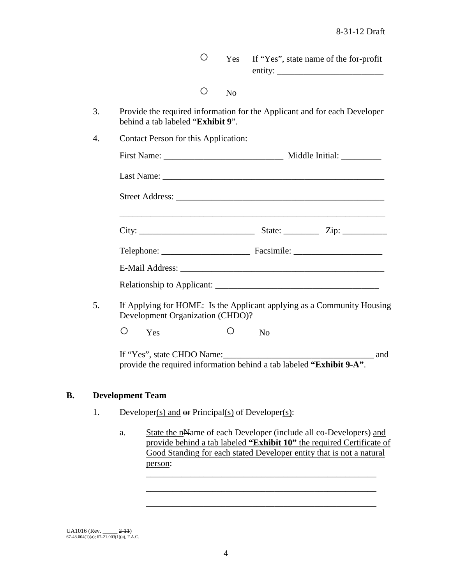○ Yes If "Yes", state name of the for-profit entity: \_\_\_\_\_\_\_\_\_\_\_\_\_\_\_\_\_\_\_\_\_\_\_\_

- No
- 3. Provide the required information for the Applicant and for each Developer behind a tab labeled "**Exhibit 9**".
- 4. Contact Person for this Application:

| Middle Initial: ____________                                           |
|------------------------------------------------------------------------|
|                                                                        |
|                                                                        |
| State: $\frac{\text{Zip: } }{ \text{Up: } \text{Sup: } \text{Sup: } }$ |
|                                                                        |
|                                                                        |
|                                                                        |

5. If Applying for HOME: Is the Applicant applying as a Community Housing Development Organization (CHDO)?

O Yes O No

If "Yes", state CHDO Name:  $\Box$  and provide the required information behind a tab labeled **"Exhibit 9-A"**.

## **B. Development Team**

- 1. Developer(s) and  $\Theta$ **F** Principal(s) of Developer(s):
	- a. State the nName of each Developer (include all co-Developers) and provide behind a tab labeled **"Exhibit 10"** the required Certificate of Good Standing for each stated Developer entity that is not a natural person: \_\_\_\_\_\_\_\_\_\_\_\_\_\_\_\_\_\_\_\_\_\_\_\_\_\_\_\_\_\_\_\_\_\_\_\_\_\_\_\_\_\_\_\_\_\_\_\_\_\_\_\_

\_\_\_\_\_\_\_\_\_\_\_\_\_\_\_\_\_\_\_\_\_\_\_\_\_\_\_\_\_\_\_\_\_\_\_\_\_\_\_\_\_\_\_\_\_\_\_\_\_\_\_\_ \_\_\_\_\_\_\_\_\_\_\_\_\_\_\_\_\_\_\_\_\_\_\_\_\_\_\_\_\_\_\_\_\_\_\_\_\_\_\_\_\_\_\_\_\_\_\_\_\_\_\_\_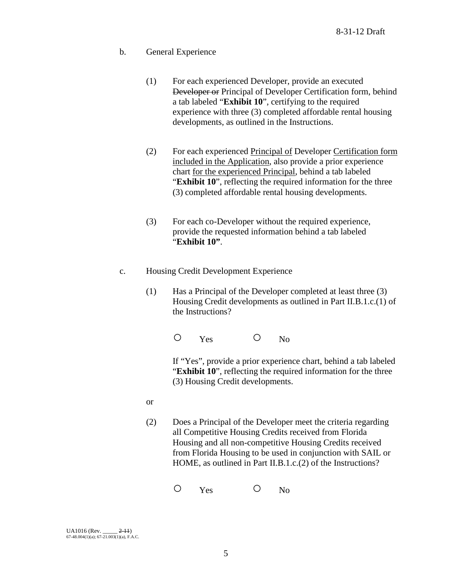- b. General Experience
	- (1) For each experienced Developer, provide an executed Developer or Principal of Developer Certification form, behind a tab labeled "**Exhibit 10**", certifying to the required experience with three (3) completed affordable rental housing developments, as outlined in the Instructions.
	- (2) For each experienced Principal of Developer Certification form included in the Application, also provide a prior experience chart for the experienced Principal, behind a tab labeled "**Exhibit 10**", reflecting the required information for the three (3) completed affordable rental housing developments.
	- (3) For each co-Developer without the required experience, provide the requested information behind a tab labeled "**Exhibit 10"**.
- c. Housing Credit Development Experience
	- (1) Has a Principal of the Developer completed at least three (3) Housing Credit developments as outlined in Part II.B.1.c.(1) of the Instructions?

O Yes O No

If "Yes", provide a prior experience chart, behind a tab labeled "**Exhibit 10**", reflecting the required information for the three (3) Housing Credit developments.

- or
- (2) Does a Principal of the Developer meet the criteria regarding all Competitive Housing Credits received from Florida Housing and all non-competitive Housing Credits received from Florida Housing to be used in conjunction with SAIL or HOME, as outlined in Part II.B.1.c.(2) of the Instructions?

O Yes O No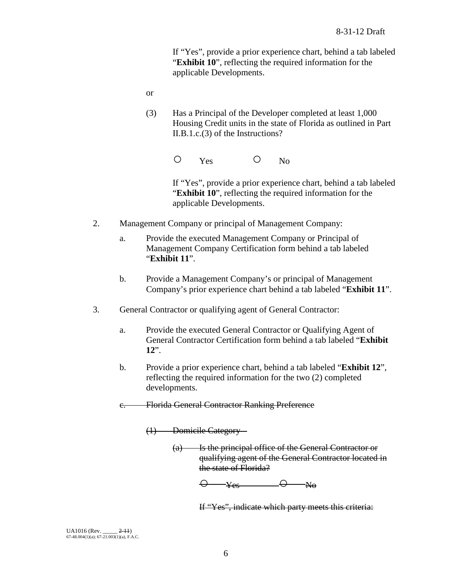If "Yes", provide a prior experience chart, behind a tab labeled "**Exhibit 10**", reflecting the required information for the applicable Developments.

- or
- (3) Has a Principal of the Developer completed at least 1,000 Housing Credit units in the state of Florida as outlined in Part II.B.1.c.(3) of the Instructions?

O Yes O No

If "Yes", provide a prior experience chart, behind a tab labeled "**Exhibit 10**", reflecting the required information for the applicable Developments.

- 2. Management Company or principal of Management Company:
	- a. Provide the executed Management Company or Principal of Management Company Certification form behind a tab labeled "**Exhibit 11**".
	- b. Provide a Management Company's or principal of Management Company's prior experience chart behind a tab labeled "**Exhibit 11**".
- 3. General Contractor or qualifying agent of General Contractor:
	- a. Provide the executed General Contractor or Qualifying Agent of General Contractor Certification form behind a tab labeled "**Exhibit 12**".
	- b. Provide a prior experience chart, behind a tab labeled "**Exhibit 12**", reflecting the required information for the two (2) completed developments.
	- c. Florida General Contractor Ranking Preference

(1) Domicile Category –

(a) Is the principal office of the General Contractor or qualifying agent of the General Contractor located in the state of Florida?

 $\Theta$   $\rightarrow$   $\gamma_{es}$   $\rightarrow$   $\Theta$   $\rightarrow$   $\gamma_{\theta}$ 

If "Yes", indicate which party meets this criteria: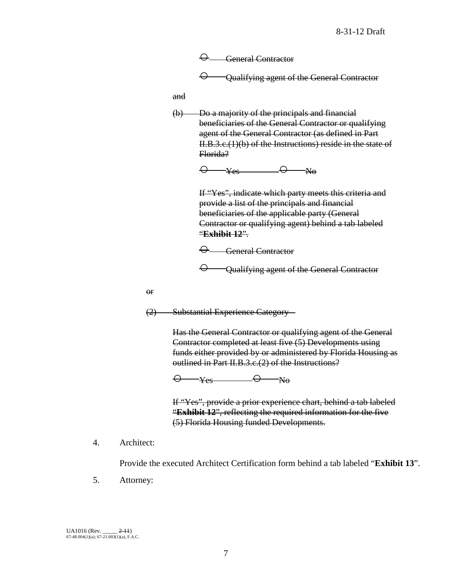$\Theta$  General Contractor  $\Theta$  Qualifying agent of the General Contractor

and

(b) Do a majority of the principals and financial beneficiaries of the General Contractor or qualifying agent of the General Contractor (as defined in Part II.B.3.c.(1)(b) of the Instructions) reside in the state of Florida?

 $\Theta$  y<sub>es</sub>  $\Theta$  No

If "Yes", indicate which party meets this criteria and provide a list of the principals and financial beneficiaries of the applicable party (General Contractor or qualifying agent) behind a tab labeled "**Exhibit 12**".

○ General Contractor

○ Qualifying agent of the General Contractor

or

(2) Substantial Experience Category –

Has the General Contractor or qualifying agent of the General Contractor completed at least five (5) Developments using funds either provided by or administered by Florida Housing as outlined in Part II.B.3.c.(2) of the Instructions?

 $\Theta$   $\rightarrow$  Yes  $\Theta$  No

If "Yes", provide a prior experience chart, behind a tab labeled "**Exhibit 12**", reflecting the required information for the five (5) Florida Housing funded Developments.

4. Architect:

Provide the executed Architect Certification form behind a tab labeled "**Exhibit 13**".

5. Attorney: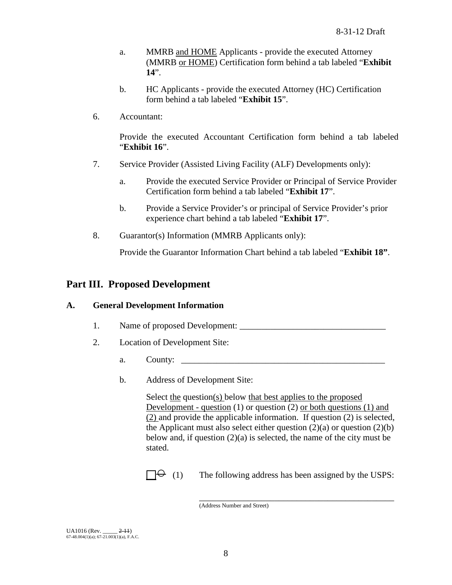- a. MMRB and HOME Applicants provide the executed Attorney (MMRB or HOME) Certification form behind a tab labeled "**Exhibit 14**".
- b. HC Applicants provide the executed Attorney (HC) Certification form behind a tab labeled "**Exhibit 15**".
- 6. Accountant:

Provide the executed Accountant Certification form behind a tab labeled "**Exhibit 16**".

- 7. Service Provider (Assisted Living Facility (ALF) Developments only):
	- a. Provide the executed Service Provider or Principal of Service Provider Certification form behind a tab labeled "**Exhibit 17**".
	- b. Provide a Service Provider's or principal of Service Provider's prior experience chart behind a tab labeled "**Exhibit 17**".
- 8. Guarantor(s) Information (MMRB Applicants only):

Provide the Guarantor Information Chart behind a tab labeled "**Exhibit 18"**.

## **Part III. Proposed Development**

### **A. General Development Information**

- 1. Name of proposed Development:
- 2. Location of Development Site:
	- a. County: \_\_\_\_\_\_\_\_\_\_\_\_\_\_\_\_\_\_\_\_\_\_\_\_\_\_\_\_\_\_\_\_\_\_\_\_\_\_\_\_\_\_\_\_\_\_
	- b. Address of Development Site:

Select the question(s) below that best applies to the proposed Development - question (1) or question (2) or both questions (1) and (2) and provide the applicable information. If question (2) is selected, the Applicant must also select either question  $(2)(a)$  or question  $(2)(b)$ below and, if question  $(2)(a)$  is selected, the name of the city must be stated.

\_\_\_\_\_\_\_\_\_\_\_\_\_\_\_\_\_\_\_\_\_\_\_\_\_\_\_\_\_\_\_\_\_\_\_\_\_\_\_\_\_\_\_\_

 $\Box \Theta$  (1) The following address has been assigned by the USPS:

<sup>(</sup>Address Number and Street)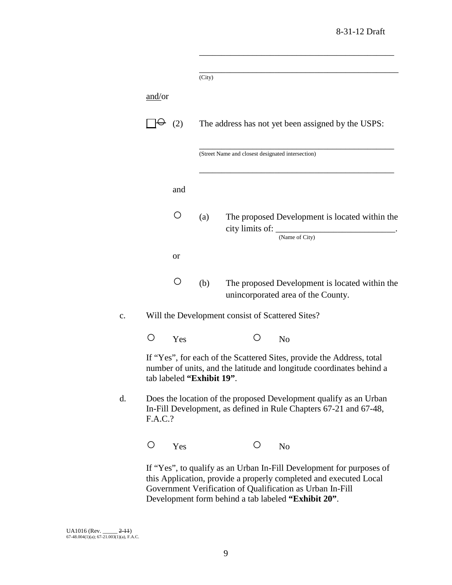\_\_\_\_\_\_\_\_\_\_\_\_\_\_\_\_\_\_\_\_\_\_\_\_\_\_\_\_\_\_\_\_\_\_\_\_\_\_\_\_\_\_\_\_

|    |         |     | (City)                    |   |                                                           |                                                                                                                                               |  |
|----|---------|-----|---------------------------|---|-----------------------------------------------------------|-----------------------------------------------------------------------------------------------------------------------------------------------|--|
|    | and/or  |     |                           |   |                                                           |                                                                                                                                               |  |
|    |         | (2) |                           |   |                                                           | The address has not yet been assigned by the USPS:                                                                                            |  |
|    |         |     |                           |   | (Street Name and closest designated intersection)         |                                                                                                                                               |  |
|    |         | and |                           |   |                                                           |                                                                                                                                               |  |
|    |         | ( ) | (a)                       |   | (Name of City)                                            | The proposed Development is located within the<br>city limits of:                                                                             |  |
|    |         | or  |                           |   |                                                           |                                                                                                                                               |  |
|    |         | ( ) | (b)                       |   | unincorporated area of the County.                        | The proposed Development is located within the                                                                                                |  |
| c. |         |     |                           |   | Will the Development consist of Scattered Sites?          |                                                                                                                                               |  |
|    |         | Yes |                           |   | N <sub>o</sub>                                            |                                                                                                                                               |  |
|    |         |     | tab labeled "Exhibit 19". |   |                                                           | If "Yes", for each of the Scattered Sites, provide the Address, total<br>number of units, and the latitude and longitude coordinates behind a |  |
| d. | F.A.C.? |     |                           |   |                                                           | Does the location of the proposed Development qualify as an Urban<br>In-Fill Development, as defined in Rule Chapters 67-21 and 67-48,        |  |
|    | O       | Yes |                           | Ο | N <sub>o</sub>                                            |                                                                                                                                               |  |
|    |         |     |                           |   | Government Verification of Qualification as Urban In-Fill | If "Yes", to qualify as an Urban In-Fill Development for purposes of<br>this Application, provide a properly completed and executed Local     |  |

Development form behind a tab labeled **"Exhibit 20"**.

UA1016 (Rev. \_\_\_\_\_ <del>2-11</del>)<br>67-48.004(1)(a); 67-21.003(1)(a), F.A.C.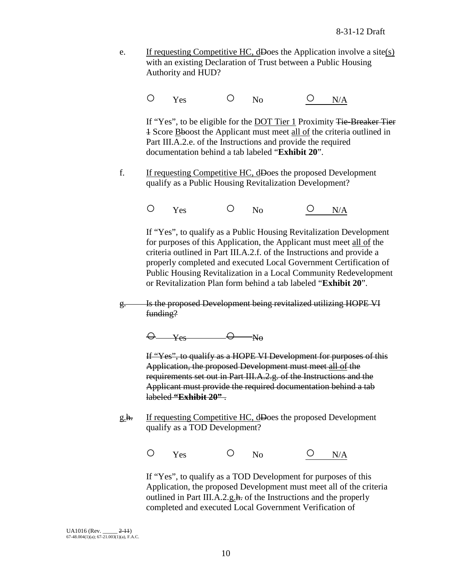e. If requesting Competitive HC, dDoes the Application involve a site(s) with an existing Declaration of Trust between a Public Housing Authority and HUD?

O Yes O No <u>O N/A</u>

If "Yes", to be eligible for the **DOT** Tier 1 Proximity Tie-Breaker Tier 1 Score Bboost the Applicant must meet all of the criteria outlined in Part III.A.2.e. of the Instructions and provide the required documentation behind a tab labeled "**Exhibit 20**".

- f. If requesting Competitive HC, dDoes the proposed Development qualify as a Public Housing Revitalization Development?
	- O Yes O No <u>O N/A</u>

If "Yes", to qualify as a Public Housing Revitalization Development for purposes of this Application, the Applicant must meet all of the criteria outlined in Part III.A.2.f. of the Instructions and provide a properly completed and executed Local Government Certification of Public Housing Revitalization in a Local Community Redevelopment or Revitalization Plan form behind a tab labeled "**Exhibit 20**".

g. Is the proposed Development being revitalized utilizing HOPE VI funding?

 $\Theta$   $Y_{es}$   $\Theta$   $N_0$ 

If "Yes", to qualify as a HOPE VI Development for purposes of this Application, the proposed Development must meet all of the requirements set out in Part III.A.2.g. of the Instructions and the Applicant must provide the required documentation behind a tab labeled **"Exhibit 20"** .

g.h. If requesting Competitive HC, dDoes the proposed Development qualify as a TOD Development?

O Yes O No <u>O N/A</u>

If "Yes", to qualify as a TOD Development for purposes of this Application, the proposed Development must meet all of the criteria outlined in Part III.A.2.g.h. of the Instructions and the properly completed and executed Local Government Verification of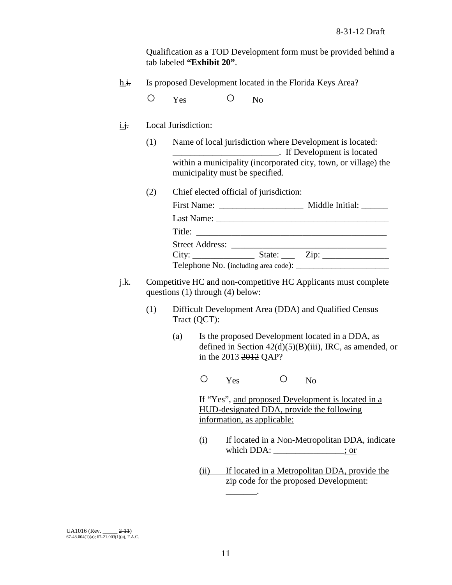Qualification as a TOD Development form must be provided behind a tab labeled **"Exhibit 20"**.

h.i. Is proposed Development located in the Florida Keys Area?

O Yes O No

- i.j. Local Jurisdiction:
	- (1) Name of local jurisdiction where Development is located: \_\_\_\_\_\_\_\_\_\_\_\_\_\_\_\_\_\_\_\_\_\_\_\_. If Development is located within a municipality (incorporated city, town, or village) the municipality must be specified.
	- (2) Chief elected official of jurisdiction:

|                 | Middle Initial:                    |
|-----------------|------------------------------------|
|                 |                                    |
| Title:          |                                    |
| Street Address: |                                    |
|                 | State: $\qquad \qquad \text{Zip:}$ |
|                 |                                    |

- j.k. Competitive HC and non-competitive HC Applicants must complete questions (1) through (4) below:
	- (1) Difficult Development Area (DDA) and Qualified Census Tract (QCT):
		- (a) Is the proposed Development located in a DDA, as defined in Section  $42(d)(5)(B)(iii)$ , IRC, as amended, or in the 2013 2012 QAP?

O Yes O No

If "Yes", and proposed Development is located in a HUD-designated DDA, provide the following information, as applicable:

- (i) If located in a Non-Metropolitan DDA, indicate which DDA: \_\_\_\_\_\_\_\_\_\_\_\_\_; or
- (ii) If located in a Metropolitan DDA, provide the zip code for the proposed Development:

 $\overline{\phantom{a}}$ 

UA1016 (Rev. \_\_\_\_\_ <del>2-11</del>)<br>67-48.004(1)(a); 67-21.003(1)(a), F.A.C.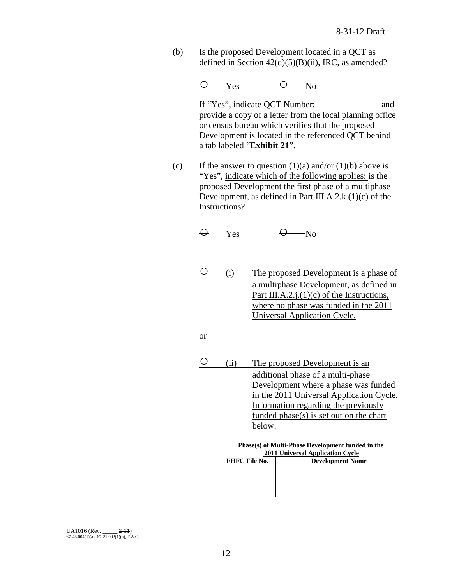- (b) Is the proposed Development located in a QCT as defined in Section  $42(d)(5)(B)(ii)$ , IRC, as amended?
	- O Yes O No

If "Yes", indicate QCT Number: \_\_\_\_\_\_\_\_\_\_\_\_\_\_ and provide a copy of a letter from the local planning office or census bureau which verifies that the proposed Development is located in the referenced QCT behind a tab labeled "**Exhibit 21**".

(c) If the answer to question  $(1)(a)$  and/or  $(1)(b)$  above is "Yes", indicate which of the following applies: is the proposed Development the first phase of a multiphase Development, as defined in Part III.A.2.k.(1)(c) of the Instructions?

$$
\Theta \qquad \qquad \text{Yes} \qquad \qquad \Theta \qquad \text{No}
$$

- (i) The proposed Development is a phase of a multiphase Development, as defined in Part III.A.2. $i(1)(c)$  of the Instructions, where no phase was funded in the 2011 Universal Application Cycle.
- or
- (ii) The proposed Development is an additional phase of a multi-phase Development where a phase was funded in the 2011 Universal Application Cycle. Information regarding the previously funded phase(s) is set out on the chart below:

| Phase(s) of Multi-Phase Development funded in the<br>2011 Universal Application Cycle |                         |  |  |
|---------------------------------------------------------------------------------------|-------------------------|--|--|
| <b>FHFC File No.</b>                                                                  | <b>Development Name</b> |  |  |
|                                                                                       |                         |  |  |
|                                                                                       |                         |  |  |
|                                                                                       |                         |  |  |
|                                                                                       |                         |  |  |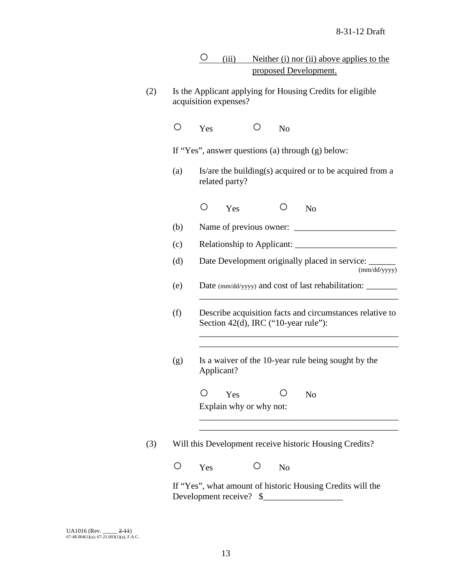| $\left(\begin{array}{c} 0 \\ 1 \end{array}\right)$ | Yes                                                         |                |                         | N <sub>o</sub> |                                                                                                  |
|----------------------------------------------------|-------------------------------------------------------------|----------------|-------------------------|----------------|--------------------------------------------------------------------------------------------------|
|                                                    |                                                             |                |                         |                | If "Yes", answer questions (a) through (g) below:                                                |
| (a)                                                |                                                             | related party? |                         |                | Is/are the building(s) acquired or to be acquired from a                                         |
|                                                    | $\left(\begin{smallmatrix} 1 \\ 1 \end{smallmatrix}\right)$ | Yes            |                         | $\circ$        | N <sub>0</sub>                                                                                   |
| (b)                                                |                                                             |                |                         |                |                                                                                                  |
| (c)                                                |                                                             |                |                         |                |                                                                                                  |
| (d)                                                |                                                             |                |                         |                | Date Development originally placed in service: _____<br>(mm/dd/yyyy)                             |
| (e)                                                |                                                             |                |                         |                | Date (mm/dd/yyyy) and cost of last rehabilitation:                                               |
| (f)                                                |                                                             |                |                         |                | Describe acquisition facts and circumstances relative to<br>Section 42(d), IRC ("10-year rule"): |
| (g)                                                | Applicant?                                                  |                |                         |                | Is a waiver of the 10-year rule being sought by the                                              |
|                                                    |                                                             | Yes            |                         |                | N <sub>o</sub>                                                                                   |
|                                                    |                                                             |                | Explain why or why not: |                |                                                                                                  |
|                                                    |                                                             |                |                         |                | Will this Development receive historic Housing Credits?                                          |
|                                                    |                                                             |                |                         |                |                                                                                                  |
|                                                    | Yes                                                         |                |                         | N <sub>o</sub> |                                                                                                  |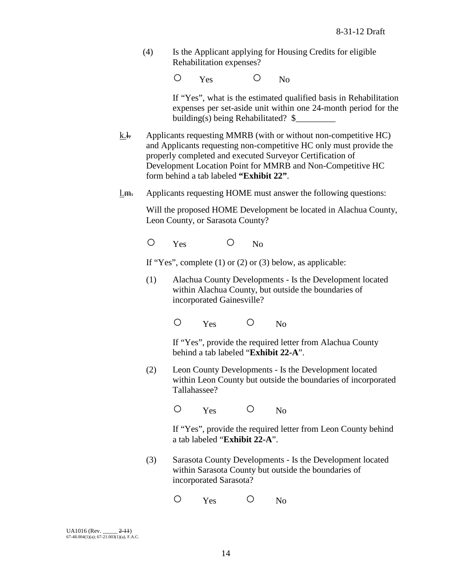(4) Is the Applicant applying for Housing Credits for eligible Rehabilitation expenses?

O Yes O No

If "Yes", what is the estimated qualified basis in Rehabilitation expenses per set-aside unit within one 24-month period for the building(s) being Rehabilitated? \$

- k.<del>l.</del> Applicants requesting MMRB (with or without non-competitive HC) and Applicants requesting non-competitive HC only must provide the properly completed and executed Surveyor Certification of Development Location Point for MMRB and Non-Competitive HC form behind a tab labeled **"Exhibit 22"**.
- l.m. Applicants requesting HOME must answer the following questions:

Will the proposed HOME Development be located in Alachua County, Leon County, or Sarasota County?

O Yes O No

If "Yes", complete  $(1)$  or  $(2)$  or  $(3)$  below, as applicable:

(1) Alachua County Developments - Is the Development located within Alachua County, but outside the boundaries of incorporated Gainesville?

O Yes O No

If "Yes", provide the required letter from Alachua County behind a tab labeled "**Exhibit 22-A**".

(2) Leon County Developments - Is the Development located within Leon County but outside the boundaries of incorporated Tallahassee?

O Yes O No

If "Yes", provide the required letter from Leon County behind a tab labeled "**Exhibit 22-A**".

(3) Sarasota County Developments - Is the Development located within Sarasota County but outside the boundaries of incorporated Sarasota?

O Yes O No

 $U_A$ 1016 (Rev.  $2-11$ ) 67-48.004(1)(a); 67-21.003(1)(a), F.A.C.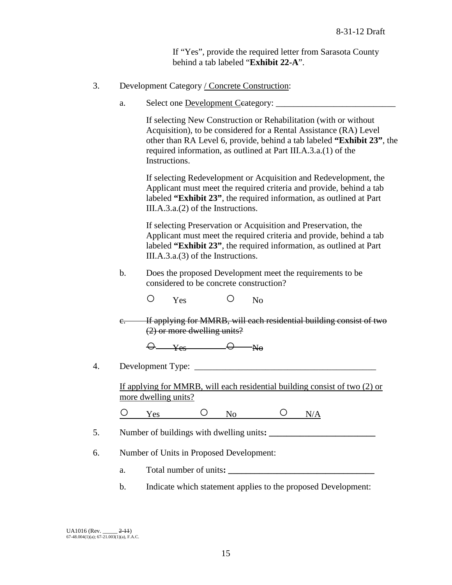If "Yes", provide the required letter from Sarasota County behind a tab labeled "**Exhibit 22-A**".

## 3. Development Category / Concrete Construction:

a. Select one Development Ceategory:

If selecting New Construction or Rehabilitation (with or without Acquisition), to be considered for a Rental Assistance (RA) Level other than RA Level 6, provide, behind a tab labeled **"Exhibit 23"**, the required information, as outlined at Part III.A.3.a.(1) of the Instructions.

If selecting Redevelopment or Acquisition and Redevelopment, the Applicant must meet the required criteria and provide, behind a tab labeled **"Exhibit 23"**, the required information, as outlined at Part III.A.3.a.(2) of the Instructions.

If selecting Preservation or Acquisition and Preservation, the Applicant must meet the required criteria and provide, behind a tab labeled **"Exhibit 23"**, the required information, as outlined at Part III.A.3.a.(3) of the Instructions.

b. Does the proposed Development meet the requirements to be considered to be concrete construction?

O Yes O No

c. If applying for MMRB, will each residential building consist of two (2) or more dwelling units?

 $\Theta$  yes  $\Theta$  No

4. Development Type: \_\_\_\_\_\_\_\_\_\_\_\_\_\_\_\_\_\_\_\_\_\_\_\_\_\_\_\_\_\_\_\_\_\_\_\_\_\_\_\_\_

If applying for MMRB, will each residential building consist of two (2) or more dwelling units?

 $O$  Yes  $O$  No  $O$  N/A

- 5. Number of buildings with dwelling units**: \_\_\_\_\_\_\_\_\_\_\_\_\_\_\_\_\_\_\_\_\_\_\_\_**
- 6. Number of Units in Proposed Development:
	- a. Total number of units**: \_\_\_\_\_\_\_\_\_\_\_\_\_\_\_\_\_\_\_\_\_\_\_\_\_\_\_\_\_\_\_\_\_**
	- b. Indicate which statement applies to the proposed Development: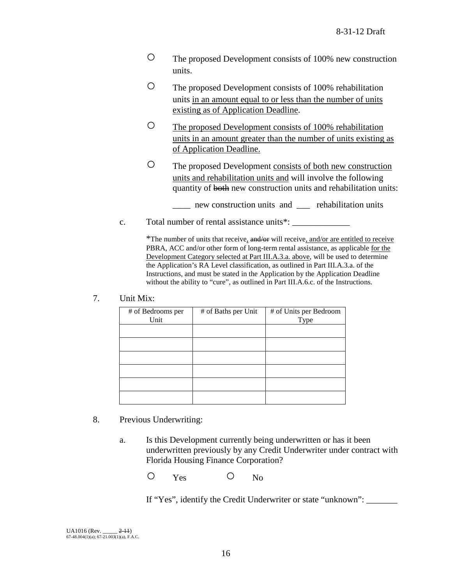- The proposed Development consists of 100% new construction units.
- The proposed Development consists of 100% rehabilitation units in an amount equal to or less than the number of units existing as of Application Deadline.
- The proposed Development consists of 100% rehabilitation units in an amount greater than the number of units existing as of Application Deadline.
- The proposed Development consists of both new construction units and rehabilitation units and will involve the following quantity of both new construction units and rehabilitation units:
	- \_\_\_\_ new construction units and \_\_\_ rehabilitation units
- c. Total number of rental assistance units<sup>\*</sup>:

\*The number of units that receive, and/or will receive, and/or are entitled to receive PBRA, ACC and/or other form of long-term rental assistance, as applicable for the Development Category selected at Part III.A.3.a. above, will be used to determine the Application's RA Level classification, as outlined in Part III.A.3.a. of the Instructions, and must be stated in the Application by the Application Deadline without the ability to "cure", as outlined in Part III.A.6.c. of the Instructions.

|  | Unit Mix: |
|--|-----------|
|--|-----------|

| # of Bedrooms per | # of Baths per Unit | # of Units per Bedroom |
|-------------------|---------------------|------------------------|
| Unit              |                     | Type                   |
|                   |                     |                        |
|                   |                     |                        |
|                   |                     |                        |
|                   |                     |                        |
|                   |                     |                        |
|                   |                     |                        |
|                   |                     |                        |
|                   |                     |                        |
|                   |                     |                        |
|                   |                     |                        |
|                   |                     |                        |
|                   |                     |                        |

- 8. Previous Underwriting:
	- a. Is this Development currently being underwritten or has it been underwritten previously by any Credit Underwriter under contract with Florida Housing Finance Corporation?

O Yes O No

If "Yes", identify the Credit Underwriter or state "unknown": \_\_\_\_\_\_\_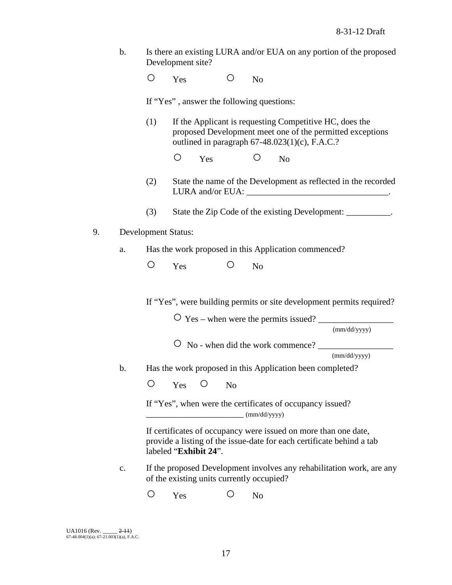b. Is there an existing LURA and/or EUA on any portion of the proposed Development site?

O Yes O No

If "Yes" , answer the following questions:

- (1) If the Applicant is requesting Competitive HC, does the proposed Development meet one of the permitted exceptions outlined in paragraph 67-48.023(1)(c), F.A.C.?
	- O Yes O No
- (2) State the name of the Development as reflected in the recorded LURA and/or EUA: \_\_\_\_\_\_\_\_\_\_\_\_\_\_\_\_\_\_\_\_\_\_\_\_\_\_\_\_\_\_\_\_.
- (3) State the Zip Code of the existing Development: \_\_\_\_\_\_\_\_\_\_\_.
- 9. Development Status:
	- a. Has the work proposed in this Application commenced?
		- O Yes O No

If "Yes", were building permits or site development permits required?

 $\overline{O}$  Yes – when were the permits issued?

(mm/dd/yyyy)

○ No - when did the work commence? \_\_\_\_\_\_\_\_\_\_\_\_\_\_\_\_\_

(mm/dd/yyyy)

b. Has the work proposed in this Application been completed?

O Yes O No

If "Yes", when were the certificates of occupancy issued?  $\text{mm}/\text{dd}/\text{yyy}$ 

If certificates of occupancy were issued on more than one date, provide a listing of the issue-date for each certificate behind a tab labeled "**Exhibit 24**".

- c. If the proposed Development involves any rehabilitation work, are any of the existing units currently occupied?
	- O Yes O No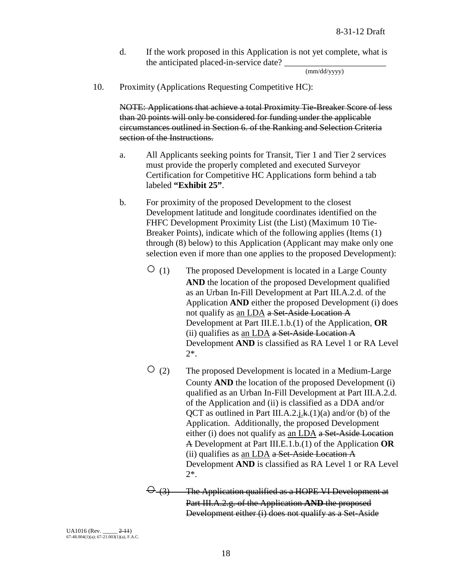d. If the work proposed in this Application is not yet complete, what is the anticipated placed-in-service date?

(mm/dd/yyyy)

10. Proximity (Applications Requesting Competitive HC):

NOTE: Applications that achieve a total Proximity Tie-Breaker Score of less than 20 points will only be considered for funding under the applicable circumstances outlined in Section 6. of the Ranking and Selection Criteria section of the Instructions.

- a. All Applicants seeking points for Transit, Tier 1 and Tier 2 services must provide the properly completed and executed Surveyor Certification for Competitive HC Applications form behind a tab labeled **"Exhibit 25"**.
- b. For proximity of the proposed Development to the closest Development latitude and longitude coordinates identified on the FHFC Development Proximity List (the List) (Maximum 10 Tie-Breaker Points), indicate which of the following applies (Items (1) through (8) below) to this Application (Applicant may make only one selection even if more than one applies to the proposed Development):
	- (1) The proposed Development is located in a Large County **AND** the location of the proposed Development qualified as an Urban In-Fill Development at Part III.A.2.d. of the Application **AND** either the proposed Development (i) does not qualify as an LDA a Set-Aside Location A Development at Part III.E.1.b.(1) of the Application, **OR** (ii) qualifies as an LDA a Set-Aside Location A Development **AND** is classified as RA Level 1 or RA Level 2\*.
	- $\overline{O}$  (2) The proposed Development is located in a Medium-Large County **AND** the location of the proposed Development (i) qualified as an Urban In-Fill Development at Part III.A.2.d. of the Application and (ii) is classified as a DDA and/or QCT as outlined in Part III.A.2.j.k. $(1)(a)$  and/or (b) of the Application. Additionally, the proposed Development either (i) does not qualify as an LDA a Set-Aside Location A Development at Part III.E.1.b.(1) of the Application **OR** (ii) qualifies as an LDA  $a$  Set-Aside Location A Development **AND** is classified as RA Level 1 or RA Level 2\*.
	- $\Theta$  (3) The Application qualified as a HOPE VI Development at Part III.A.2.g. of the Application **AND** the proposed Development either (i) does not qualify as a Set-Aside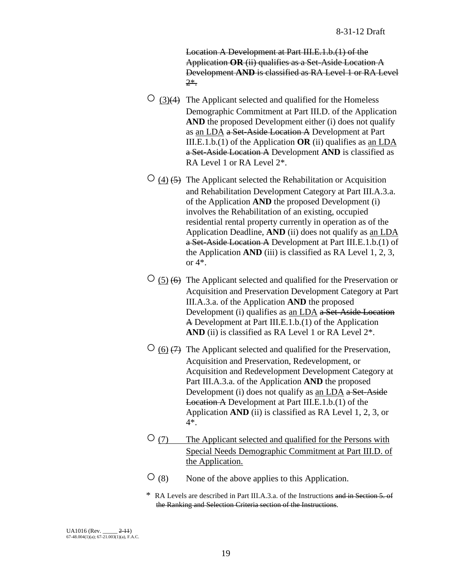Location A Development at Part III.E.1.b.(1) of the Application **OR** (ii) qualifies as a Set-Aside Location A Development **AND** is classified as RA Level 1 or RA Level 2\*.

- $\circ$  (3)(4) The Applicant selected and qualified for the Homeless Demographic Commitment at Part III.D. of the Application AND the proposed Development either (i) does not qualify as an LDA a Set-Aside Location A Development at Part III.E.1.b.(1) of the Application **OR** (ii) qualifies as an LDA a Set-Aside Location A Development **AND** is classified as RA Level 1 or RA Level 2\*.
- $\circ$  (4) (5) The Applicant selected the Rehabilitation or Acquisition and Rehabilitation Development Category at Part III.A.3.a. of the Application **AND** the proposed Development (i) involves the Rehabilitation of an existing, occupied residential rental property currently in operation as of the Application Deadline, **AND** (ii) does not qualify as an LDA a Set-Aside Location A Development at Part III.E.1.b.(1) of the Application **AND** (iii) is classified as RA Level 1, 2, 3, or  $4^*$ .
- $\circ$  (5) (6) The Applicant selected and qualified for the Preservation or Acquisition and Preservation Development Category at Part III.A.3.a. of the Application **AND** the proposed Development (i) qualifies as an LDA a Set-Aside Location A Development at Part III.E.1.b.(1) of the Application AND (ii) is classified as RA Level 1 or RA Level  $2^*$ .
- $\circ$  (6)  $\leftrightarrow$  The Applicant selected and qualified for the Preservation, Acquisition and Preservation, Redevelopment, or Acquisition and Redevelopment Development Category at Part III.A.3.a. of the Application **AND** the proposed Development (i) does not qualify as an LDA a Set-Aside Location A Development at Part III.E.1.b.(1) of the Application **AND** (ii) is classified as RA Level 1, 2, 3, or 4\*.
- ○(7) The Applicant selected and qualified for the Persons with Special Needs Demographic Commitment at Part III.D. of the Application.
- $\overline{O}(8)$  None of the above applies to this Application.
- \* RA Levels are described in Part III.A.3.a. of the Instructions and in Section 5. of the Ranking and Selection Criteria section of the Instructions.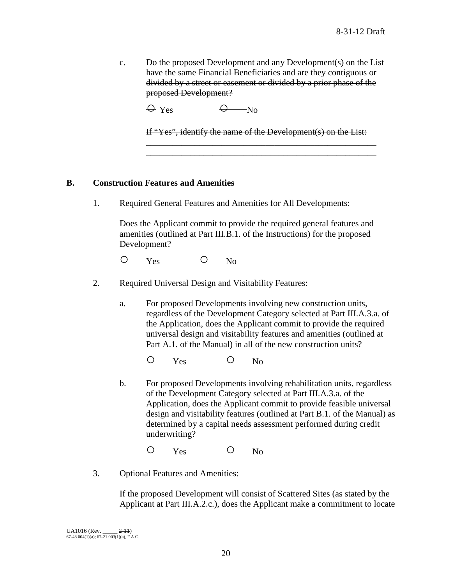c. Do the proposed Development and any Development(s) on the List have the same Financial Beneficiaries and are they contiguous or divided by a street or easement or divided by a prior phase of the proposed Development?

 $\Theta$   $Y_{\text{es}}$   $\Theta$   $N_{\text{e}}$ 

If "Yes", identify the name of the Development(s) on the List:  $\overline{\phantom{a}}$  , and the contribution of the contribution of  $\overline{\phantom{a}}$ 

 $\overline{\phantom{a}}$  ,  $\overline{\phantom{a}}$  ,  $\overline{\phantom{a}}$  ,  $\overline{\phantom{a}}$  ,  $\overline{\phantom{a}}$  ,  $\overline{\phantom{a}}$  ,  $\overline{\phantom{a}}$  ,  $\overline{\phantom{a}}$  ,  $\overline{\phantom{a}}$  ,  $\overline{\phantom{a}}$  ,  $\overline{\phantom{a}}$  ,  $\overline{\phantom{a}}$  ,  $\overline{\phantom{a}}$  ,  $\overline{\phantom{a}}$  ,  $\overline{\phantom{a}}$  ,  $\overline{\phantom{a}}$ 

### **B. Construction Features and Amenities**

1. Required General Features and Amenities for All Developments:

Does the Applicant commit to provide the required general features and amenities (outlined at Part III.B.1. of the Instructions) for the proposed Development?

O Yes O No

- 2. Required Universal Design and Visitability Features:
	- a. For proposed Developments involving new construction units, regardless of the Development Category selected at Part III.A.3.a. of the Application, does the Applicant commit to provide the required universal design and visitability features and amenities (outlined at Part A.1. of the Manual) in all of the new construction units?

O Yes O No

b. For proposed Developments involving rehabilitation units, regardless of the Development Category selected at Part III.A.3.a. of the Application, does the Applicant commit to provide feasible universal design and visitability features (outlined at Part B.1. of the Manual) as determined by a capital needs assessment performed during credit underwriting?

O Yes O No

3. Optional Features and Amenities:

If the proposed Development will consist of Scattered Sites (as stated by the Applicant at Part III.A.2.c.), does the Applicant make a commitment to locate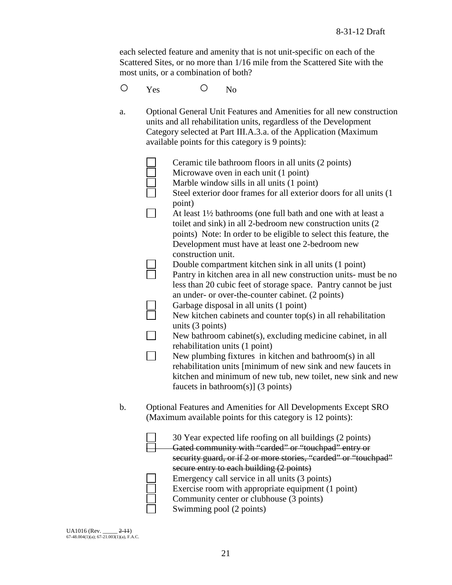each selected feature and amenity that is not unit-specific on each of the Scattered Sites, or no more than 1/16 mile from the Scattered Site with the most units, or a combination of both?

- O Yes O No
- a. Optional General Unit Features and Amenities for all new construction units and all rehabilitation units, regardless of the Development Category selected at Part III.A.3.a. of the Application (Maximum available points for this category is 9 points):

|    | Ceramic tile bathroom floors in all units (2 points)                                    |
|----|-----------------------------------------------------------------------------------------|
|    | Microwave oven in each unit (1 point)                                                   |
|    | Marble window sills in all units (1 point)                                              |
|    | Steel exterior door frames for all exterior doors for all units (1                      |
|    |                                                                                         |
|    | point)                                                                                  |
|    | At least 1 <sup>1</sup> / <sub>2</sub> bathrooms (one full bath and one with at least a |
|    | toilet and sink) in all 2-bedroom new construction units (2)                            |
|    | points) Note: In order to be eligible to select this feature, the                       |
|    | Development must have at least one 2-bedroom new                                        |
|    | construction unit.                                                                      |
|    | Double compartment kitchen sink in all units (1 point)                                  |
|    | Pantry in kitchen area in all new construction units- must be no                        |
|    | less than 20 cubic feet of storage space. Pantry cannot be just                         |
|    | an under- or over-the-counter cabinet. (2 points)                                       |
|    | Garbage disposal in all units (1 point)                                                 |
|    | New kitchen cabinets and counter $top(s)$ in all rehabilitation                         |
|    | units $(3 \text{ points})$                                                              |
|    | New bathroom cabinet(s), excluding medicine cabinet, in all                             |
|    | rehabilitation units (1 point)                                                          |
|    | New plumbing fixtures in kitchen and bathroom(s) in all                                 |
|    | rehabilitation units [minimum of new sink and new faucets in                            |
|    | kitchen and minimum of new tub, new toilet, new sink and new                            |
|    | faucets in bathroom(s)] $(3 \text{ points})$                                            |
|    |                                                                                         |
| b. | Optional Features and Amenities for All Developments Except SRO                         |
|    | (Maximum available points for this category is 12 points):                              |
|    |                                                                                         |
|    | 30 Year expected life roofing on all buildings (2 points)                               |
|    | Gated community with "carded" or "touchpad" entry or                                    |
|    | security guard, or if 2 or more stories, "carded" or "touchpad"                         |
|    | secure entry to each building (2 points)                                                |
|    | Emergency call service in all units (3 points)                                          |
|    | Exercise room with appropriate equipment (1 point)                                      |
|    | Community center or clubhouse (3 points)                                                |
|    | Swimming pool (2 points)                                                                |

Swimming pool (2 points)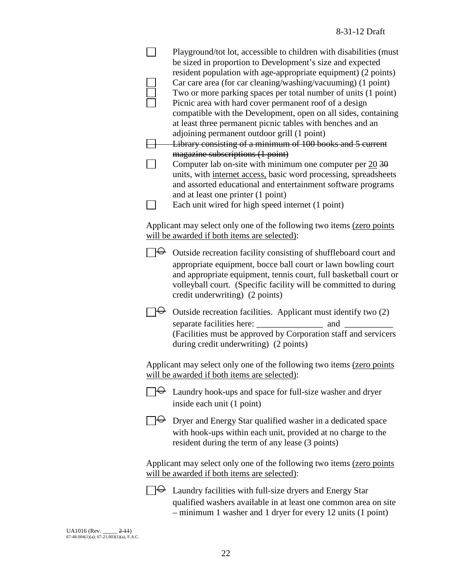|  | Playground/tot lot, accessible to children with disabilities (must<br>be sized in proportion to Development's size and expected                                                                                                                                                                                                                                                                                                                               |
|--|---------------------------------------------------------------------------------------------------------------------------------------------------------------------------------------------------------------------------------------------------------------------------------------------------------------------------------------------------------------------------------------------------------------------------------------------------------------|
|  | resident population with age-appropriate equipment) (2 points)<br>Car care area (for car cleaning/washing/vacuuming) (1 point)<br>Two or more parking spaces per total number of units (1 point)<br>Picnic area with hard cover permanent roof of a design<br>compatible with the Development, open on all sides, containing                                                                                                                                  |
|  | at least three permanent picnic tables with benches and an<br>adjoining permanent outdoor grill (1 point)<br>Library consisting of a minimum of 100 books and 5 current<br>magazine subscriptions (1 point)<br>Computer lab on-site with minimum one computer per $20\overline{30}$<br>units, with internet access, basic word processing, spreadsheets<br>and assorted educational and entertainment software programs<br>and at least one printer (1 point) |
|  | Each unit wired for high speed internet (1 point)                                                                                                                                                                                                                                                                                                                                                                                                             |
|  | Applicant may select only one of the following two items (zero points<br>will be awarded if both items are selected):                                                                                                                                                                                                                                                                                                                                         |
|  | $\Theta$ Outside recreation facility consisting of shuffleboard court and<br>appropriate equipment, bocce ball court or lawn bowling court<br>and appropriate equipment, tennis court, full basketball court or<br>volleyball court. (Specific facility will be committed to during<br>credit underwriting) (2 points)                                                                                                                                        |
|  | Outside recreation facilities. Applicant must identify two (2)<br>(Facilities must be approved by Corporation staff and servicers<br>during credit underwriting) (2 points)                                                                                                                                                                                                                                                                                   |
|  | Applicant may select only one of the following two items (zero points<br>will be awarded if both items are selected):                                                                                                                                                                                                                                                                                                                                         |
|  | Laundry hook-ups and space for full-size washer and dryer<br>inside each unit (1 point)                                                                                                                                                                                                                                                                                                                                                                       |
|  | $\Theta$ Dryer and Energy Star qualified washer in a dedicated space<br>with hook-ups within each unit, provided at no charge to the<br>resident during the term of any lease (3 points)                                                                                                                                                                                                                                                                      |
|  | Applicant may select only one of the following two items (zero points<br>will be awarded if both items are selected):                                                                                                                                                                                                                                                                                                                                         |
|  | $\Theta$ Laundry facilities with full-size dryers and Energy Star<br>qualified washers available in at least one common area on site<br>- minimum 1 washer and 1 dryer for every 12 units (1 point)                                                                                                                                                                                                                                                           |
|  |                                                                                                                                                                                                                                                                                                                                                                                                                                                               |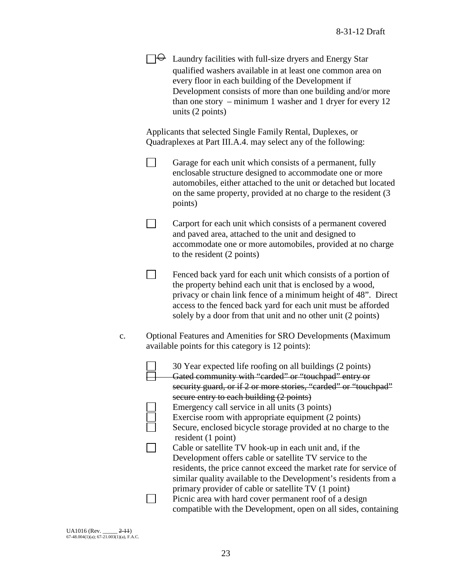|                | $\Theta$ Laundry facilities with full-size dryers and Energy Star<br>qualified washers available in at least one common area on<br>every floor in each building of the Development if<br>Development consists of more than one building and/or more<br>than one story $-$ minimum 1 washer and 1 dryer for every 12<br>units (2 points)                                                                                                                                                               |
|----------------|-------------------------------------------------------------------------------------------------------------------------------------------------------------------------------------------------------------------------------------------------------------------------------------------------------------------------------------------------------------------------------------------------------------------------------------------------------------------------------------------------------|
|                | Applicants that selected Single Family Rental, Duplexes, or<br>Quadraplexes at Part III.A.4. may select any of the following:                                                                                                                                                                                                                                                                                                                                                                         |
|                | Garage for each unit which consists of a permanent, fully<br>enclosable structure designed to accommodate one or more<br>automobiles, either attached to the unit or detached but located<br>on the same property, provided at no charge to the resident (3)<br>points)                                                                                                                                                                                                                               |
|                | Carport for each unit which consists of a permanent covered<br>and paved area, attached to the unit and designed to<br>accommodate one or more automobiles, provided at no charge<br>to the resident (2 points)                                                                                                                                                                                                                                                                                       |
|                | Fenced back yard for each unit which consists of a portion of<br>the property behind each unit that is enclosed by a wood,<br>privacy or chain link fence of a minimum height of 48". Direct<br>access to the fenced back yard for each unit must be afforded<br>solely by a door from that unit and no other unit (2 points)                                                                                                                                                                         |
| $\mathbf{c}$ . | Optional Features and Amenities for SRO Developments (Maximum<br>available points for this category is 12 points):                                                                                                                                                                                                                                                                                                                                                                                    |
|                | 30 Year expected life roofing on all buildings (2 points)<br>Gated community with "carded" or "touchpad" entry or<br>security guard, or if 2 or more stories, "carded" or "touchpad"                                                                                                                                                                                                                                                                                                                  |
|                | secure entry to each building (2 points)<br>Emergency call service in all units (3 points)<br>Exercise room with appropriate equipment (2 points)<br>Secure, enclosed bicycle storage provided at no charge to the<br>resident (1 point)<br>Cable or satellite TV hook-up in each unit and, if the<br>Development offers cable or satellite TV service to the<br>residents, the price cannot exceed the market rate for service of<br>similar quality available to the Development's residents from a |
|                | primary provider of cable or satellite TV (1 point)<br>Picnic area with hard cover permanent roof of a design<br>compatible with the Development, open on all sides, containing                                                                                                                                                                                                                                                                                                                       |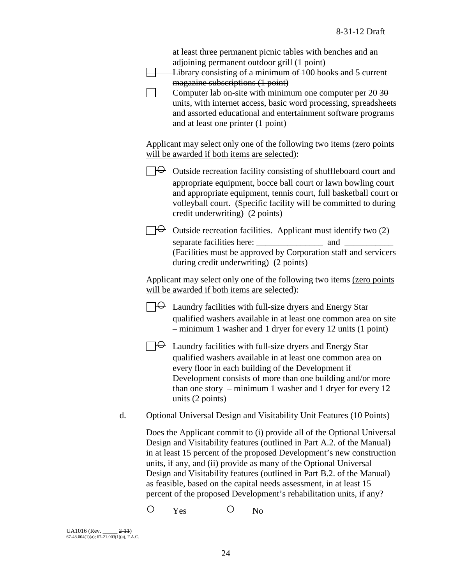|    | at least three permanent picnic tables with benches and an<br>adjoining permanent outdoor grill (1 point)<br>Library consisting of a minimum of 100 books and 5 current<br>magazine subscriptions (1 point)<br>Computer lab on-site with minimum one computer per $20\overline{30}$<br>units, with internet access, basic word processing, spreadsheets<br>and assorted educational and entertainment software programs<br>and at least one printer (1 point)                                                         |
|----|-----------------------------------------------------------------------------------------------------------------------------------------------------------------------------------------------------------------------------------------------------------------------------------------------------------------------------------------------------------------------------------------------------------------------------------------------------------------------------------------------------------------------|
|    | Applicant may select only one of the following two items (zero points<br>will be awarded if both items are selected):                                                                                                                                                                                                                                                                                                                                                                                                 |
|    | $\Theta$ Outside recreation facility consisting of shuffleboard court and<br>appropriate equipment, bocce ball court or lawn bowling court<br>and appropriate equipment, tennis court, full basketball court or<br>volleyball court. (Specific facility will be committed to during<br>credit underwriting) (2 points)                                                                                                                                                                                                |
|    | $\Theta$ Outside recreation facilities. Applicant must identify two (2)<br>and<br>(Facilities must be approved by Corporation staff and servicers<br>during credit underwriting) (2 points)                                                                                                                                                                                                                                                                                                                           |
|    | Applicant may select only one of the following two items (zero points<br>will be awarded if both items are selected):                                                                                                                                                                                                                                                                                                                                                                                                 |
|    | $\forall$ Laundry facilities with full-size dryers and Energy Star<br>qualified washers available in at least one common area on site<br>$-$ minimum 1 washer and 1 dryer for every 12 units (1 point)                                                                                                                                                                                                                                                                                                                |
|    | $\forall$ Laundry facilities with full-size dryers and Energy Star<br>qualified washers available in at least one common area on<br>every floor in each building of the Development if<br>Development consists of more than one building and/or more<br>than one story $-$ minimum 1 washer and 1 dryer for every 12<br>units (2 points)                                                                                                                                                                              |
| d. | Optional Universal Design and Visitability Unit Features (10 Points)                                                                                                                                                                                                                                                                                                                                                                                                                                                  |
|    | Does the Applicant commit to (i) provide all of the Optional Universal<br>Design and Visitability features (outlined in Part A.2. of the Manual)<br>in at least 15 percent of the proposed Development's new construction<br>units, if any, and (ii) provide as many of the Optional Universal<br>Design and Visitability features (outlined in Part B.2. of the Manual)<br>as feasible, based on the capital needs assessment, in at least 15<br>percent of the proposed Development's rehabilitation units, if any? |

O Yes O No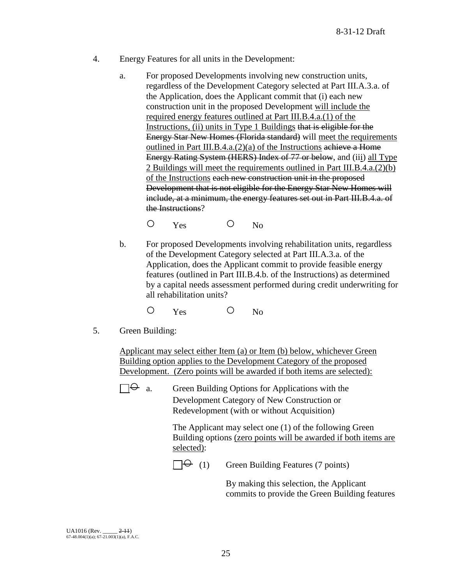- 4. Energy Features for all units in the Development:
	- a. For proposed Developments involving new construction units, regardless of the Development Category selected at Part III.A.3.a. of the Application, does the Applicant commit that (i) each new construction unit in the proposed Development will include the required energy features outlined at Part III.B.4.a.(1) of the Instructions, (ii) units in Type 1 Buildings that is eligible for the Energy Star New Homes (Florida standard) will meet the requirements outlined in Part III.B.4.a.(2)(a) of the Instructions achieve a Home Energy Rating System (HERS) Index of 77 or below, and (iii) all Type 2 Buildings will meet the requirements outlined in Part III.B.4.a.(2)(b) of the Instructions each new construction unit in the proposed Development that is not eligible for the Energy Star New Homes will include, at a minimum, the energy features set out in Part III.B.4.a. of the Instructions?

O Yes O No

- b. For proposed Developments involving rehabilitation units, regardless of the Development Category selected at Part III.A.3.a. of the Application, does the Applicant commit to provide feasible energy features (outlined in Part III.B.4.b. of the Instructions) as determined by a capital needs assessment performed during credit underwriting for all rehabilitation units?
	- O Yes O No
- 5. Green Building:

Applicant may select either Item (a) or Item (b) below, whichever Green Building option applies to the Development Category of the proposed Development. (Zero points will be awarded if both items are selected):

 $\Box \Theta$  a. Green Building Options for Applications with the Development Category of New Construction or Redevelopment (with or without Acquisition)

> The Applicant may select one (1) of the following Green Building options (zero points will be awarded if both items are selected):

 $\Box \Theta$  (1) Green Building Features (7 points)

By making this selection, the Applicant commits to provide the Green Building features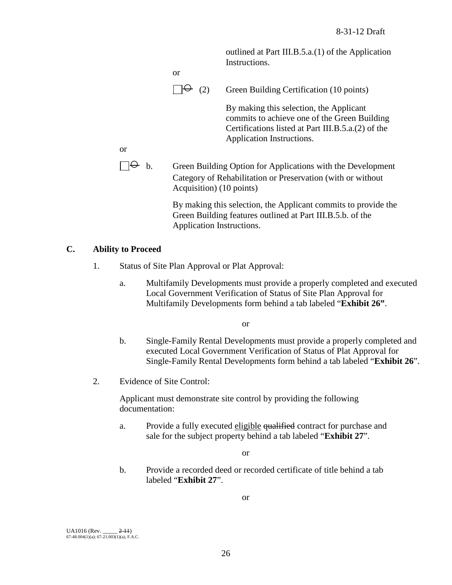outlined at Part III.B.5.a.(1) of the Application Instructions.



 $\Box \Theta$  (2) Green Building Certification (10 points)

By making this selection, the Applicant commits to achieve one of the Green Building Certifications listed at Part III.B.5.a.(2) of the Application Instructions.

or

 $\Box \Theta$  b. Green Building Option for Applications with the Development Category of Rehabilitation or Preservation (with or without Acquisition) (10 points)

> By making this selection, the Applicant commits to provide the Green Building features outlined at Part III.B.5.b. of the Application Instructions.

## **C. Ability to Proceed**

- 1. Status of Site Plan Approval or Plat Approval:
	- a. Multifamily Developments must provide a properly completed and executed Local Government Verification of Status of Site Plan Approval for Multifamily Developments form behind a tab labeled "**Exhibit 26"**.

or

- b. Single-Family Rental Developments must provide a properly completed and executed Local Government Verification of Status of Plat Approval for Single-Family Rental Developments form behind a tab labeled "**Exhibit 26**".
- 2. Evidence of Site Control:

Applicant must demonstrate site control by providing the following documentation:

a. Provide a fully executed eligible qualified contract for purchase and sale for the subject property behind a tab labeled "**Exhibit 27**".

or

b. Provide a recorded deed or recorded certificate of title behind a tab labeled "**Exhibit 27**".

or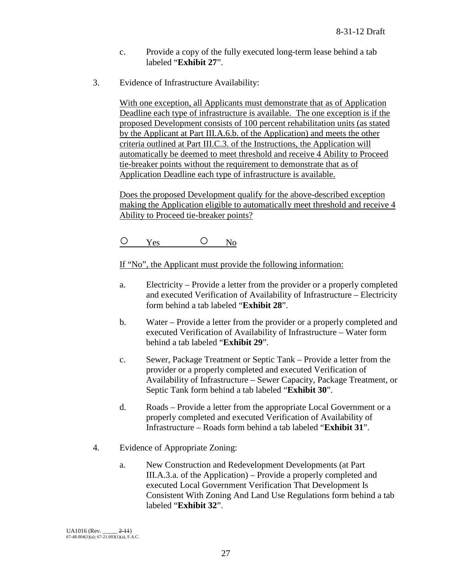- c. Provide a copy of the fully executed long-term lease behind a tab labeled "**Exhibit 27**".
- 3. Evidence of Infrastructure Availability:

With one exception, all Applicants must demonstrate that as of Application Deadline each type of infrastructure is available. The one exception is if the proposed Development consists of 100 percent rehabilitation units (as stated by the Applicant at Part III.A.6.b. of the Application) and meets the other criteria outlined at Part III.C.3. of the Instructions, the Application will automatically be deemed to meet threshold and receive 4 Ability to Proceed tie-breaker points without the requirement to demonstrate that as of Application Deadline each type of infrastructure is available.

Does the proposed Development qualify for the above-described exception making the Application eligible to automatically meet threshold and receive 4 Ability to Proceed tie-breaker points?

O Yes O No

If "No", the Applicant must provide the following information:

- a. Electricity Provide a letter from the provider or a properly completed and executed Verification of Availability of Infrastructure – Electricity form behind a tab labeled "**Exhibit 28**".
- b. Water Provide a letter from the provider or a properly completed and executed Verification of Availability of Infrastructure – Water form behind a tab labeled "**Exhibit 29**".
- c. Sewer, Package Treatment or Septic Tank Provide a letter from the provider or a properly completed and executed Verification of Availability of Infrastructure – Sewer Capacity, Package Treatment, or Septic Tank form behind a tab labeled "**Exhibit 30**".
- d. Roads Provide a letter from the appropriate Local Government or a properly completed and executed Verification of Availability of Infrastructure – Roads form behind a tab labeled "**Exhibit 31**".
- 4. Evidence of Appropriate Zoning:
	- a. New Construction and Redevelopment Developments (at Part III.A.3.a. of the Application) – Provide a properly completed and executed Local Government Verification That Development Is Consistent With Zoning And Land Use Regulations form behind a tab labeled "**Exhibit 32**".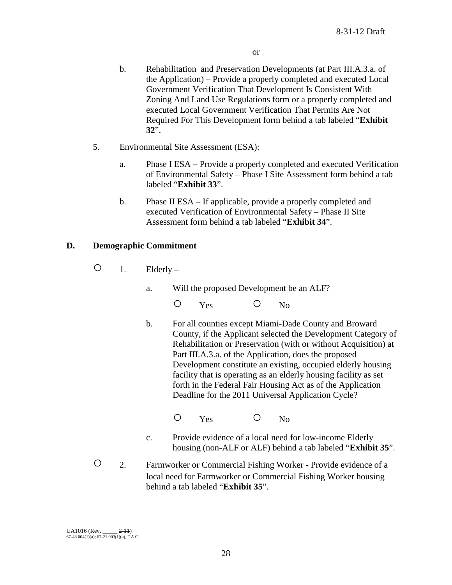- b. Rehabilitation and Preservation Developments (at Part III.A.3.a. of the Application) – Provide a properly completed and executed Local Government Verification That Development Is Consistent With Zoning And Land Use Regulations form or a properly completed and executed Local Government Verification That Permits Are Not Required For This Development form behind a tab labeled "**Exhibit 32**".
- 5. Environmental Site Assessment (ESA):
	- a. Phase I ESA **–** Provide a properly completed and executed Verification of Environmental Safety – Phase I Site Assessment form behind a tab labeled "**Exhibit 33**".
	- b. Phase II ESA If applicable, provide a properly completed and executed Verification of Environmental Safety – Phase II Site Assessment form behind a tab labeled "**Exhibit 34**".

## **D. Demographic Commitment**

- $\bigcirc$  1. Elderly
	- a. Will the proposed Development be an ALF?
		- O Yes O No
		- b. For all counties except Miami-Dade County and Broward County, if the Applicant selected the Development Category of Rehabilitation or Preservation (with or without Acquisition) at Part III.A.3.a. of the Application, does the proposed Development constitute an existing, occupied elderly housing facility that is operating as an elderly housing facility as set forth in the Federal Fair Housing Act as of the Application Deadline for the 2011 Universal Application Cycle?
			- O Yes O No
		- c. Provide evidence of a local need for low-income Elderly housing (non-ALF or ALF) behind a tab labeled "**Exhibit 35**".
- 2. Farmworker or Commercial Fishing Worker Provide evidence of a local need for Farmworker or Commercial Fishing Worker housing behind a tab labeled "**Exhibit 35**".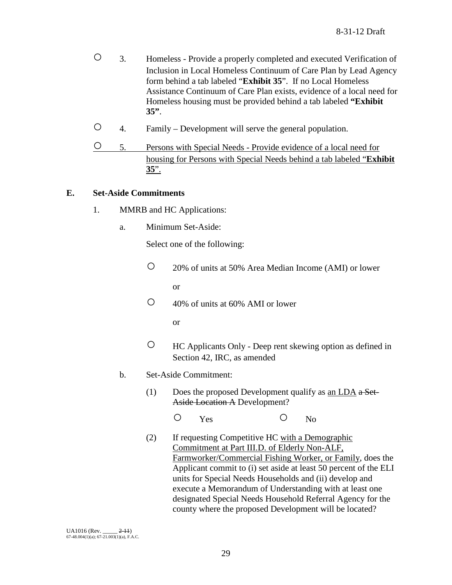- 3. Homeless Provide a properly completed and executed Verification of Inclusion in Local Homeless Continuum of Care Plan by Lead Agency form behind a tab labeled "**Exhibit 35**". If no Local Homeless Assistance Continuum of Care Plan exists, evidence of a local need for Homeless housing must be provided behind a tab labeled **"Exhibit 35"**.
- 4. Family Development will serve the general population.
- 5. Persons with Special Needs Provide evidence of a local need for housing for Persons with Special Needs behind a tab labeled "**Exhibit 35**".

## **E. Set-Aside Commitments**

- 1. MMRB and HC Applications:
	- a. Minimum Set-Aside:

Select one of the following:

○ 20% of units at 50% Area Median Income (AMI) or lower

or

○ 40% of units at 60% AMI or lower

or

- HC Applicants Only Deep rent skewing option as defined in Section 42, IRC, as amended
- b. Set-Aside Commitment:
	- (1) Does the proposed Development qualify as an LDA  $a$  Set-Aside Location A Development?

O Yes O No

(2) If requesting Competitive HC with a Demographic Commitment at Part III.D. of Elderly Non-ALF, Farmworker/Commercial Fishing Worker, or Family, does the Applicant commit to (i) set aside at least 50 percent of the ELI units for Special Needs Households and (ii) develop and execute a Memorandum of Understanding with at least one designated Special Needs Household Referral Agency for the county where the proposed Development will be located?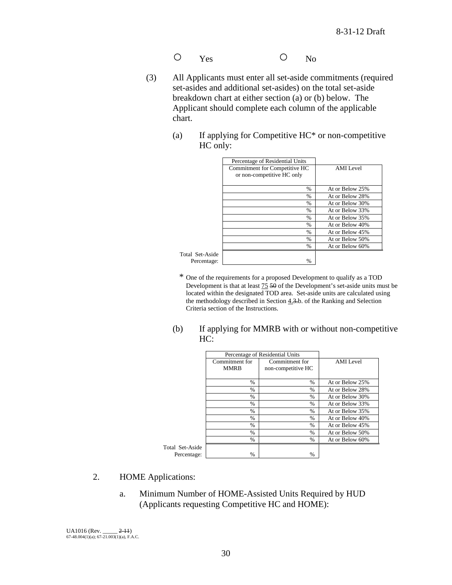- O Yes O No
- (3) All Applicants must enter all set-aside commitments (required set-asides and additional set-asides) on the total set-aside breakdown chart at either section (a) or (b) below. The Applicant should complete each column of the applicable chart.
	- (a) If applying for Competitive HC\* or non-competitive HC only:

|                 | Percentage of Residential Units                             |                 |
|-----------------|-------------------------------------------------------------|-----------------|
|                 | Commitment for Competitive HC<br>or non-competitive HC only | AMI Level       |
|                 | $\frac{0}{0}$                                               | At or Below 25% |
|                 | $\frac{0}{0}$                                               | At or Below 28% |
|                 | %                                                           | At or Below 30% |
|                 | $\frac{0}{0}$                                               | At or Below 33% |
|                 | $\%$                                                        | At or Below 35% |
|                 | $\frac{0}{0}$                                               | At or Below 40% |
|                 | $\frac{0}{0}$                                               | At or Below 45% |
|                 | $\frac{0}{0}$                                               | At or Below 50% |
|                 | $\frac{0}{0}$                                               | At or Below 60% |
| Total Set-Aside |                                                             |                 |
| Percentage:     | $\%$                                                        |                 |

- \* One of the requirements for a proposed Development to qualify as a TOD Development is that at least 75 50 of the Development's set-aside units must be located within the designated TOD area. Set-aside units are calculated using the methodology described in Section 4.3.b. of the Ranking and Selection Criteria section of the Instructions.
- (b) If applying for MMRB with or without non-competitive HC:

|                 |                | Percentage of Residential Units |                  |
|-----------------|----------------|---------------------------------|------------------|
|                 | Commitment for | Commitment for                  | <b>AMI</b> Level |
|                 | <b>MMRB</b>    | non-competitive HC              |                  |
|                 | $\frac{0}{0}$  | $\%$                            | At or Below 25%  |
|                 | $\frac{0}{0}$  | $\%$                            | At or Below 28%  |
|                 | $\%$           | $\frac{0}{0}$                   | At or Below 30%  |
|                 | $\%$           | $\%$                            | At or Below 33%  |
|                 | $\frac{0}{0}$  | $\frac{0}{0}$                   | At or Below 35%  |
|                 | %              | $\%$                            | At or Below 40%  |
|                 | $\frac{0}{0}$  | $\frac{0}{0}$                   | At or Below 45%  |
|                 | $\frac{0}{0}$  | $\frac{0}{0}$                   | At or Below 50%  |
|                 | $\%$           | $\frac{0}{0}$                   | At or Below 60%  |
| Total Set-Aside |                |                                 |                  |
| Percentage:     | $\%$           | $\%$                            |                  |

- 2. HOME Applications:
	- a. Minimum Number of HOME-Assisted Units Required by HUD (Applicants requesting Competitive HC and HOME):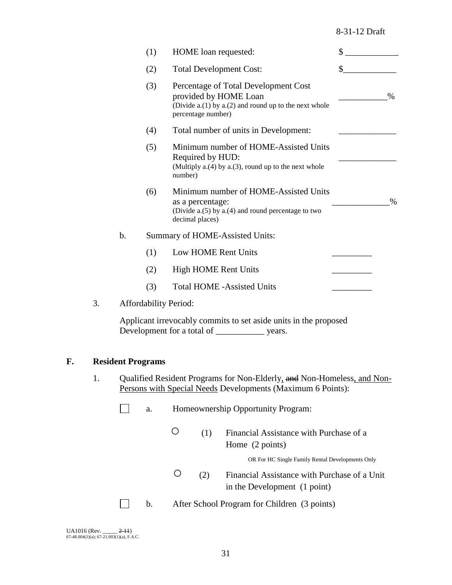#### 8-31-12 Draft

|    |               | (1)                          | HOME loan requested:                                                                                                                           | \$   |  |
|----|---------------|------------------------------|------------------------------------------------------------------------------------------------------------------------------------------------|------|--|
|    |               | (2)                          | <b>Total Development Cost:</b>                                                                                                                 | \$   |  |
|    |               | (3)                          | Percentage of Total Development Cost<br>provided by HOME Loan<br>(Divide $a(1)$ by $a(2)$ and round up to the next whole<br>percentage number) | $\%$ |  |
|    |               | (4)                          | Total number of units in Development:                                                                                                          |      |  |
|    |               | (5)                          | Minimum number of HOME-Assisted Units<br>Required by HUD:<br>(Multiply $a(4)$ by $a(3)$ , round up to the next whole<br>number)                |      |  |
|    |               | (6)                          | Minimum number of HOME-Assisted Units<br>as a percentage:<br>(Divide $a(5)$ by $a(4)$ and round percentage to two<br>decimal places)           | $\%$ |  |
|    | $\mathbf b$ . |                              | Summary of HOME-Assisted Units:                                                                                                                |      |  |
|    |               | (1)                          | Low HOME Rent Units                                                                                                                            |      |  |
|    |               | (2)                          | <b>High HOME Rent Units</b>                                                                                                                    |      |  |
|    |               | (3)                          | <b>Total HOME -Assisted Units</b>                                                                                                              |      |  |
| 3. |               | <b>Affordability Period:</b> |                                                                                                                                                |      |  |
|    |               |                              | Applicant irrevocably commits to set aside units in the proposed<br>Development for a total of<br>years.                                       |      |  |

### **F. Resident Programs**

1. Qualified Resident Programs for Non-Elderly, and Non-Homeless, and Non-Persons with Special Needs Developments (Maximum 6 Points):

| Homeownership Opportunity Program: |
|------------------------------------|
|------------------------------------|

○ (1) Financial Assistance with Purchase of a Home (2 points)

OR For HC Single Family Rental Developments Only

○ (2) Financial Assistance with Purchase of a Unit in the Development (1 point)

b. After School Program for Children (3 points)

UA1016 (Rev. \_\_\_\_\_ <del>2-11</del>)<br>67-48.004(1)(a); 67-21.003(1)(a), F.A.C.

 $\perp$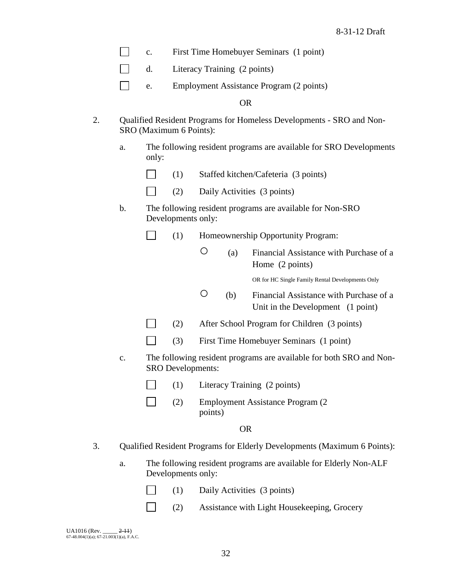- $\Box$ c. First Time Homebuyer Seminars (1 point)
- $\Box$ d. Literacy Training (2 points)
- $\Box$ e. Employment Assistance Program (2 points)

OR

- 2. Qualified Resident Programs for Homeless Developments SRO and Non-SRO (Maximum 6 Points):
	- a. The following resident programs are available for SRO Developments only:
		- $\Box$ (1) Staffed kitchen/Cafeteria (3 points)
		- $\Box$ (2) Daily Activities (3 points)
	- b. The following resident programs are available for Non-SRO Developments only:
		- $\Box$ (1) Homeownership Opportunity Program:
			- (a) Financial Assistance with Purchase of a Home (2 points)

OR for HC Single Family Rental Developments Only

- (b) Financial Assistance with Purchase of a Unit in the Development (1 point)
- $\Box$ (2) After School Program for Children (3 points)
- $\Box$ (3) First Time Homebuyer Seminars (1 point)
- c. The following resident programs are available for both SRO and Non-SRO Developments:
	- $\Box$ (1) Literacy Training (2 points)
	- $\Box$ (2) Employment Assistance Program (2 points)

#### OR

- 3. Qualified Resident Programs for Elderly Developments (Maximum 6 Points):
	- a. The following resident programs are available for Elderly Non-ALF Developments only:
		- (1) Daily Activities (3 points)  $\Box$
		- $\Box$ (2) Assistance with Light Housekeeping, Grocery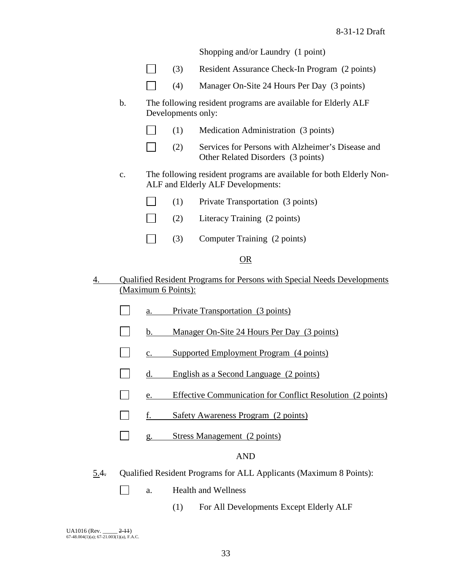Shopping and/or Laundry (1 point)

|    |                |             | (3)                 | Resident Assurance Check-In Program (2 points)                                                           |
|----|----------------|-------------|---------------------|----------------------------------------------------------------------------------------------------------|
|    |                |             | (4)                 | Manager On-Site 24 Hours Per Day (3 points)                                                              |
|    | $\mathbf b$ .  |             | Developments only:  | The following resident programs are available for Elderly ALF                                            |
|    |                |             | (1)                 | Medication Administration (3 points)                                                                     |
|    |                |             | (2)                 | Services for Persons with Alzheimer's Disease and<br>Other Related Disorders (3 points)                  |
|    | $\mathbf{C}$ . |             |                     | The following resident programs are available for both Elderly Non-<br>ALF and Elderly ALF Developments: |
|    |                |             | (1)                 | Private Transportation (3 points)                                                                        |
|    |                |             | (2)                 | Literacy Training (2 points)                                                                             |
|    |                |             | (3)                 | Computer Training (2 points)                                                                             |
|    |                |             |                     | OR                                                                                                       |
| 4. |                |             | (Maximum 6 Points): | <b>Qualified Resident Programs for Persons with Special Needs Developments</b>                           |
|    |                | a.          |                     | Private Transportation (3 points)                                                                        |
|    |                | $b_{\cdot}$ |                     | Manager On-Site 24 Hours Per Day (3 points)                                                              |
|    |                | c.          |                     | Supported Employment Program (4 points)                                                                  |
|    |                | d.          |                     | English as a Second Language (2 points)                                                                  |
|    |                | e.          |                     | <b>Effective Communication for Conflict Resolution (2 points)</b>                                        |
|    |                |             |                     |                                                                                                          |

- f. Safety Awareness Program (2 points)  $\Box$
- g. Stress Management (2 points)  $\Box$

## AND

5.4. Qualified Resident Programs for ALL Applicants (Maximum 8 Points):

 $\Box$ 

- a. Health and Wellness
	- (1) For All Developments Except Elderly ALF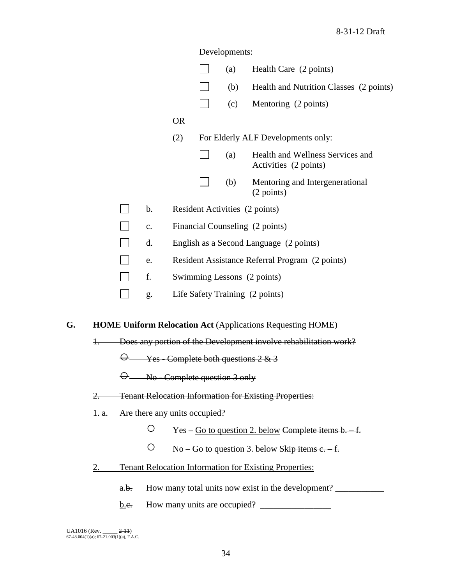|    |              |             |                               |           | Developments:                        |                                                                   |
|----|--------------|-------------|-------------------------------|-----------|--------------------------------------|-------------------------------------------------------------------|
|    |              |             |                               |           | (a)                                  | Health Care (2 points)                                            |
|    |              |             |                               |           | (b)                                  | Health and Nutrition Classes (2 points)                           |
|    |              |             |                               |           | (c)                                  | Mentoring (2 points)                                              |
|    |              |             |                               | <b>OR</b> |                                      |                                                                   |
|    |              |             |                               | (2)       |                                      | For Elderly ALF Developments only:                                |
|    |              |             |                               |           | (a)                                  | Health and Wellness Services and<br>Activities (2 points)         |
|    |              |             |                               |           | (b)                                  | Mentoring and Intergenerational<br>(2 points)                     |
|    |              |             | $\mathbf b$ .                 |           |                                      | Resident Activities (2 points)                                    |
|    |              |             | $\mathbf{c}$ .                |           |                                      | Financial Counseling (2 points)                                   |
|    |              |             | d.                            |           |                                      | English as a Second Language (2 points)                           |
|    |              |             | e.                            |           |                                      | Resident Assistance Referral Program (2 points)                   |
|    |              |             | f.                            |           |                                      | Swimming Lessons (2 points)                                       |
|    |              |             | g.                            |           |                                      | Life Safety Training (2 points)                                   |
| G. |              |             |                               |           |                                      | <b>HOME Uniform Relocation Act (Applications Requesting HOME)</b> |
|    | $\ddagger$ . |             |                               |           |                                      | Does any portion of the Development involve rehabilitation work?  |
|    |              |             |                               |           |                                      | $\Theta$ Yes Complete both questions 2 & 3                        |
|    |              |             |                               |           | $\Theta$ Mo-Complete question 3 only |                                                                   |
|    | 2.           |             |                               |           |                                      | <b>Tenant Relocation Information for Existing Properties:</b>     |
|    | 1. a.        |             | Are there any units occupied? |           |                                      |                                                                   |
|    |              |             | $\bigcirc$                    |           |                                      | $Yes - Go$ to question 2. below Complete items $b. -f.$           |
|    |              |             | O                             |           |                                      | $No - Go$ to question 3. below Skip items $c - f$ .               |
|    | 2.           |             |                               |           |                                      | <b>Tenant Relocation Information for Existing Properties:</b>     |
|    |              | <u>a.b.</u> |                               |           |                                      | How many total units now exist in the development?                |
|    |              | <u>b.e.</u> |                               |           | How many units are occupied?         |                                                                   |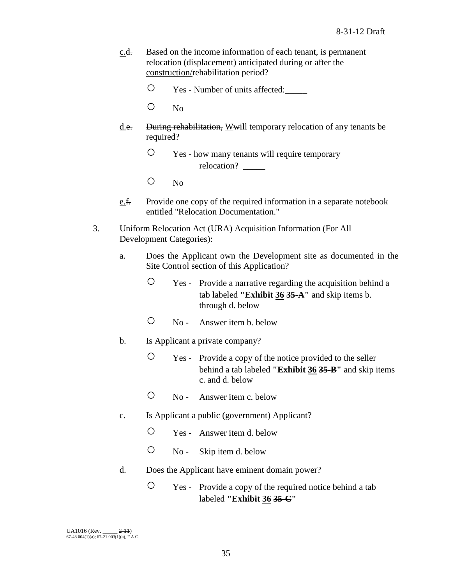- c.d. Based on the income information of each tenant, is permanent relocation (displacement) anticipated during or after the construction/rehabilitation period?
	- Yes Number of units affected:\_\_\_\_\_
	- No
- d.e. During rehabilitation, Wwill temporary relocation of any tenants be required?
	- Yes how many tenants will require temporary relocation?
	- No
- e.f. Provide one copy of the required information in a separate notebook entitled "Relocation Documentation."
- 3. Uniform Relocation Act (URA) Acquisition Information (For All Development Categories):
	- a. Does the Applicant own the Development site as documented in the Site Control section of this Application?
		- Yes Provide a narrative regarding the acquisition behind a tab labeled **"Exhibit 36 35-A"** and skip items b. through d. below
		- No Answer item b. below
	- b. Is Applicant a private company?
		- Yes Provide a copy of the notice provided to the seller behind a tab labeled **"Exhibit 36 35-B"** and skip items c. and d. below
		- No Answer item c. below
	- c. Is Applicant a public (government) Applicant?
		- Yes Answer item d. below
		- No Skip item d. below
	- d. Does the Applicant have eminent domain power?
		- Yes Provide a copy of the required notice behind a tab labeled **"Exhibit 36 35-C"**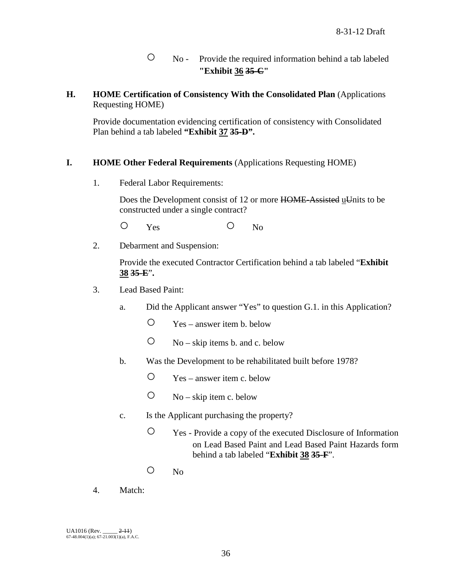- No Provide the required information behind a tab labeled **"Exhibit 36 35-C"**
- **H. HOME Certification of Consistency With the Consolidated Plan** (Applications Requesting HOME)

Provide documentation evidencing certification of consistency with Consolidated Plan behind a tab labeled **"Exhibit 37 35-D".**

## **I. HOME Other Federal Requirements** (Applications Requesting HOME)

1. Federal Labor Requirements:

Does the Development consist of 12 or more HOME-Assisted uUnits to be constructed under a single contract?

O Yes O No

2. Debarment and Suspension:

Provide the executed Contractor Certification behind a tab labeled "**Exhibit 38 35-E**"**.**

- 3. Lead Based Paint:
	- a. Did the Applicant answer "Yes" to question G.1. in this Application?
		- $\degree$  Yes answer item b. below
		- $\circ$  No skip items b. and c. below
	- b. Was the Development to be rehabilitated built before 1978?
		- $\degree$  Yes answer item c. below
		- $\circ$  No skip item c. below
	- c. Is the Applicant purchasing the property?
		- Yes Provide a copy of the executed Disclosure of Information on Lead Based Paint and Lead Based Paint Hazards form behind a tab labeled "**Exhibit 38 35-F**".
		- No
- 4. Match: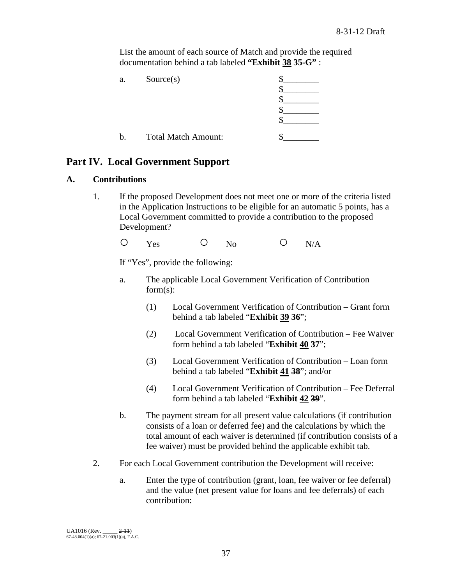List the amount of each source of Match and provide the required documentation behind a tab labeled **"Exhibit 38 35-G"** :

| a.          | Source(s)                  |  |
|-------------|----------------------------|--|
|             |                            |  |
|             |                            |  |
|             |                            |  |
|             |                            |  |
| $\mathbf b$ | <b>Total Match Amount:</b> |  |

# **Part IV. Local Government Support**

## **A. Contributions**

1. If the proposed Development does not meet one or more of the criteria listed in the Application Instructions to be eligible for an automatic 5 points, has a Local Government committed to provide a contribution to the proposed Development?

 $O$   $Y_{\text{es}}$   $O$   $N_0$   $O$   $N/A$ 

If "Yes", provide the following:

- a. The applicable Local Government Verification of Contribution form(s):
	- (1) Local Government Verification of Contribution Grant form behind a tab labeled "**Exhibit 39 36**";
	- (2) Local Government Verification of Contribution Fee Waiver form behind a tab labeled "**Exhibit 40 37**";
	- (3) Local Government Verification of Contribution Loan form behind a tab labeled "**Exhibit 41 38**"; and/or
	- (4) Local Government Verification of Contribution Fee Deferral form behind a tab labeled "**Exhibit 42 39**".
- b. The payment stream for all present value calculations (if contribution consists of a loan or deferred fee) and the calculations by which the total amount of each waiver is determined (if contribution consists of a fee waiver) must be provided behind the applicable exhibit tab.
- 2. For each Local Government contribution the Development will receive:
	- a. Enter the type of contribution (grant, loan, fee waiver or fee deferral) and the value (net present value for loans and fee deferrals) of each contribution: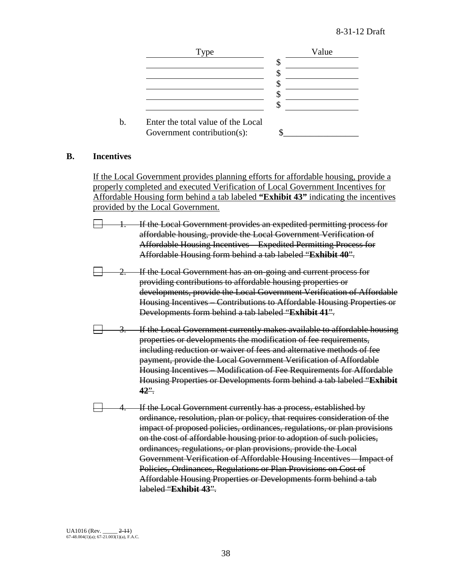

### **B. Incentives**

If the Local Government provides planning efforts for affordable housing, provide a properly completed and executed Verification of Local Government Incentives for Affordable Housing form behind a tab labeled **"Exhibit 43"** indicating the incentives provided by the Local Government.

- If the Local Government provides an expedited permitting process for affordable housing, provide the Local Government Verification of Affordable Housing Incentives – Expedited Permitting Process for Affordable Housing form behind a tab labeled "**Exhibit 40**".
- If the Local Government has an on-going and current process for providing contributions to affordable housing properties or developments, provide the Local Government Verification of Affordable Housing Incentives – Contributions to Affordable Housing Properties or Developments form behind a tab labeled "**Exhibit 41**".
- If the Local Government currently makes available to affordable housing properties or developments the modification of fee requirements, including reduction or waiver of fees and alternative methods of fee payment, provide the Local Government Verification of Affordable Housing Incentives – Modification of Fee Requirements for Affordable Housing Properties or Developments form behind a tab labeled "**Exhibit 42**".
- If the Local Government currently has a process, established by ordinance, resolution, plan or policy, that requires consideration of the impact of proposed policies, ordinances, regulations, or plan provisions on the cost of affordable housing prior to adoption of such policies, ordinances, regulations, or plan provisions, provide the Local Government Verification of Affordable Housing Incentives – Impact of Policies, Ordinances, Regulations or Plan Provisions on Cost of Affordable Housing Properties or Developments form behind a tab labeled "**Exhibit 43**".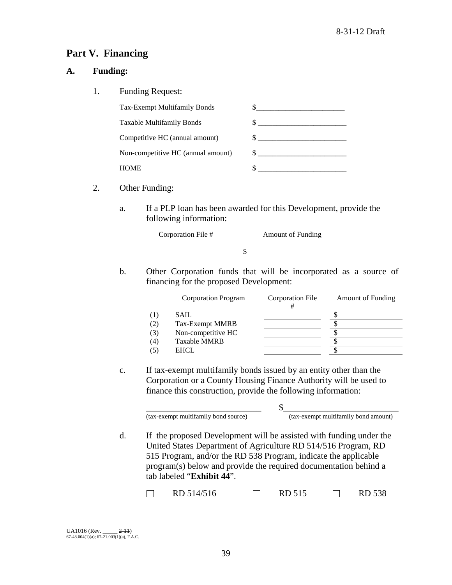# **Part V. Financing**

## **A. Funding:**

1. Funding Request:

| Tax-Exempt Multifamily Bonds       |  |
|------------------------------------|--|
| Taxable Multifamily Bonds          |  |
| Competitive HC (annual amount)     |  |
| Non-competitive HC (annual amount) |  |
| HOME.                              |  |

- 2. Other Funding:
	- a. If a PLP loan has been awarded for this Development, provide the following information:

|                  | Corporation File # |  |  | <b>Amount of Funding</b>                                                                                                                                                                                                                                                                                           |  |  |  |
|------------------|--------------------|--|--|--------------------------------------------------------------------------------------------------------------------------------------------------------------------------------------------------------------------------------------------------------------------------------------------------------------------|--|--|--|
|                  |                    |  |  |                                                                                                                                                                                                                                                                                                                    |  |  |  |
| $\sim$ $\cdot$ 1 |                    |  |  | $\mathcal{L}$ , and $\mathcal{L}$ and $\mathcal{L}$ and $\mathcal{L}$ and $\mathcal{L}$ and $\mathcal{L}$ and $\mathcal{L}$ and $\mathcal{L}$ and $\mathcal{L}$ and $\mathcal{L}$ and $\mathcal{L}$ and $\mathcal{L}$ and $\mathcal{L}$ and $\mathcal{L}$ and $\mathcal{L}$ and $\mathcal{L}$ and $\mathcal{L}$ an |  |  |  |

b. Other Corporation funds that will be incorporated as a source of financing for the proposed Development:

|     | <b>Corporation Program</b> | Corporation File | <b>Amount of Funding</b> |
|-----|----------------------------|------------------|--------------------------|
| (1) | SAIL                       |                  |                          |
| (2) | Tax-Exempt MMRB            |                  |                          |
| (3) | Non-competitive HC         |                  |                          |
| (4) | <b>Taxable MMRB</b>        |                  |                          |
|     | <b>EHCL</b>                |                  |                          |

c. If tax-exempt multifamily bonds issued by an entity other than the Corporation or a County Housing Finance Authority will be used to finance this construction, provide the following information:

> \_\_\_\_\_\_\_\_\_\_\_\_\_\_\_\_\_\_\_\_\_\_\_\_\_\_ \$\_\_\_\_\_\_\_\_\_\_\_\_\_\_\_\_\_\_\_\_\_\_\_\_\_\_ (tax-exempt multifamily bond source) (tax-exempt multifamily bond amount)

d. If the proposed Development will be assisted with funding under the United States Department of Agriculture RD 514/516 Program, RD 515 Program, and/or the RD 538 Program, indicate the applicable program(s) below and provide the required documentation behind a tab labeled "**Exhibit 44**".

| RD 514/516 | $\Box$ RD 515 | <b>RD 538</b> |
|------------|---------------|---------------|
|            |               |               |